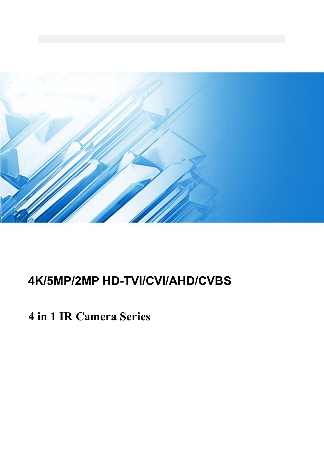

# **4K/5MP/2MP HD-TVI/CVI/AHD/CVBS**

**4 in 1 IR Camera Series**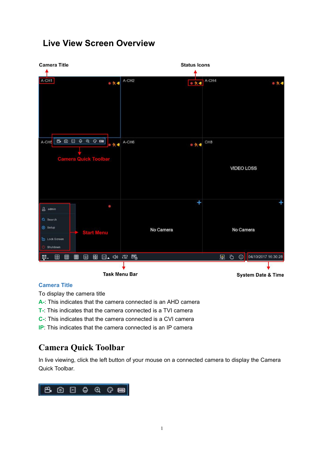## **Live View Screen Overview**

| <b>Camera Title</b>                                                                              | <b>Status Icons</b>    |                                       |
|--------------------------------------------------------------------------------------------------|------------------------|---------------------------------------|
|                                                                                                  | A-CH <sub>2</sub>      |                                       |
| A-CH1<br>◎穴→                                                                                     | ◎次考                    | A-CH4<br>◎欠▲                          |
| A-CH5 B @ @ @ @ @ <mark>B</mark><br>◎大◆<br><b>Camera Quick Toolbar</b>                           | A-CH6<br>◎穴●           | CH <sub>8</sub><br><b>VIDEO LOSS</b>  |
| 0<br>$a$ admin<br>Q Search<br>Setup<br><b>Start Menu</b><br><b>&amp;</b> Lock Screen<br>Shutdown | $\ddot{}$<br>No Camera | ٠<br>No Camera                        |
| 田<br>$\boxplus$<br>田<br>圈<br>田                                                                   | □. (4) 指 局             | 04/10/2017 16:30:28<br>巴 皇<br>$\odot$ |
|                                                                                                  |                        |                                       |
|                                                                                                  | <b>Task Menu Bar</b>   | <b>System Date &amp; Time</b>         |

#### **Camera Title**

To display the camera title

- **A-**: This indicates that the camera connected is an AHD camera
- **T**-: This indicates that the camera connected is a TVI camera
- **C-**: This indicates that the camera connected is a CVI camera
- **IP:** This indicates that the camera connected is an IP camera

## **Camera Quick Toolbar**

In live viewing, click the left button of your mouse on a connected camera to display the Camera Quick Toolbar.

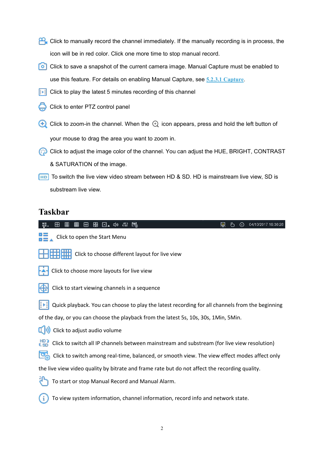- Click to manually record the channel immediately. If the manually recording is in process, the icon will be in red color. Click one more time to stop manual record.
- **Follo** Click to save a snapshot of the current camera image. Manual Capture must be enabled to use this feature. For details on enabling Manual Capture, see **5.2.3.1 Capture**.
- $\boxed{\cdot\cdot\cdot}$  Click to play the latest 5 minutes recording of this channel
- Click to enter PTZ control panel
- $\bigoplus$  Click to zoom-in the channel. When the  $\bigoplus$  icon appears, press and hold the left button of your mouse to drag the area you want to zoom in.
- Click to adjust the image color of the channel. You can adjust the HUE, BRIGHT, CONTRAST & SATURATION of the image.
- To switch the live view video stream between HD & SD. HD is mainstream live view, SD is substream live view.

## **Taskbar**

| ▦<br>⊕<br>⊞<br>□ (1) 指 2<br>囲<br>04/10/2017 16:30:28<br>$\Omega$<br>டி                                                                                                                                                                                                                                                                                                                                                             |  |
|------------------------------------------------------------------------------------------------------------------------------------------------------------------------------------------------------------------------------------------------------------------------------------------------------------------------------------------------------------------------------------------------------------------------------------|--|
| Click to open the Start Menu                                                                                                                                                                                                                                                                                                                                                                                                       |  |
| $\frac{1}{\sqrt{1-\frac{1}{\sqrt{1-\frac{1}{\sqrt{1-\frac{1}{\sqrt{1-\frac{1}{\sqrt{1-\frac{1}{\sqrt{1-\frac{1}{\sqrt{1-\frac{1}{\sqrt{1-\frac{1}{\sqrt{1-\frac{1}{\sqrt{1-\frac{1}{\sqrt{1-\frac{1}{\sqrt{1-\frac{1}{\sqrt{1-\frac{1}{\sqrt{1-\frac{1}{\sqrt{1-\frac{1}{\sqrt{1-\frac{1}{\sqrt{1-\frac{1}{\sqrt{1-\frac{1}{\sqrt{1-\frac{1}{\sqrt{1-\frac{1}{\sqrt{1-\frac{1}{\sqrt{1-\frac{1}{\sqrt{1+\frac{1}{1+\frac{1}{\sqrt$ |  |
| Click to choose more layouts for live view<br>ŀ٨۰                                                                                                                                                                                                                                                                                                                                                                                  |  |
| ₩<br>Click to start viewing channels in a sequence                                                                                                                                                                                                                                                                                                                                                                                 |  |
| Quick playback. You can choose to play the latest recording for all channels from the beginning<br>⊪∎                                                                                                                                                                                                                                                                                                                              |  |
| of the day, or you can choose the playback from the latest 5s, 10s, 30s, 1Min, 5Min.                                                                                                                                                                                                                                                                                                                                               |  |
| $\left[\right]$ Click to adjust audio volume                                                                                                                                                                                                                                                                                                                                                                                       |  |
| ESD <sup>1</sup><br>Click to switch all IP channels between mainstream and substream (for live view resolution)                                                                                                                                                                                                                                                                                                                    |  |
| Click to switch among real-time, balanced, or smooth view. The view effect modes affect only                                                                                                                                                                                                                                                                                                                                       |  |
| the live view video quality by bitrate and frame rate but do not affect the recording quality.                                                                                                                                                                                                                                                                                                                                     |  |
| To start or stop Manual Record and Manual Alarm.                                                                                                                                                                                                                                                                                                                                                                                   |  |
| To view system information, channel information, record info and network state.                                                                                                                                                                                                                                                                                                                                                    |  |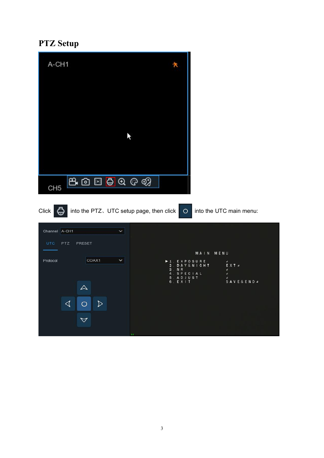## **PTZ Setup**

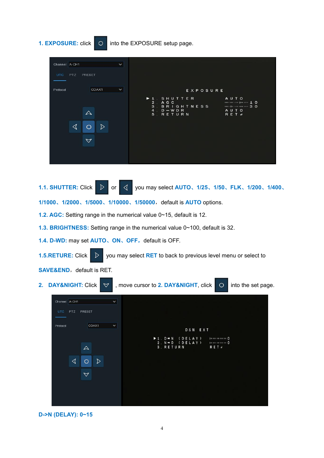## **1. EXPOSURE:** click  $\overline{O}$  into the EXPOSURE setup page.



1.1. **SHUTTER:** Click  $\triangleright$  or  $\triangleleft$  you may select AUTO, 1/25, 1/50, FLK, 1/200, 1/400,

**1/1000**、**1/2000**、**1/5000**、**1/10000**、**1/50000**,default is **AUTO** options.

- **1.2. AGC:** Setting range in the numerical value 0~15, default is 12.
- **1.3. BRIGHTNESS:** Setting range in the numericalvalue 0~100, default is 32.
- **1.4. D-WD:** may set **AUTO**、**ON**、**OFF**,default is OFF.

**1.5.RETURE:** Click  $\triangleright$  you may select **RET** to back to previous level menu or select to

**SAVE&END**, default is RET.

**2. DAY&NIGHT:** Click  $\forall$  , move cursor to **2. DAY&NIGHT**, click  $\circ$  into the set page.

| Channel A-CH1<br>$\check{~}$       |                                                                                                                                                                                   |
|------------------------------------|-----------------------------------------------------------------------------------------------------------------------------------------------------------------------------------|
| <b>UTC</b><br><b>PTZ</b><br>PRESET |                                                                                                                                                                                   |
| COAX1<br>$\checkmark$<br>Protocol  | D&N EXT                                                                                                                                                                           |
| $\Delta$                           | $\blacktriangleright$ 1. D $\rightarrow$ N (DELAY)<br><b>Distance me me me O</b><br>$2. N \rightarrow D$ (DELAY)<br>$\upmu\sigma$ and and the set $\bigcirc$<br>3. RETURN<br>RET. |
| ◁<br>▷<br>Ω                        |                                                                                                                                                                                   |
| $\bigtriangledown$                 |                                                                                                                                                                                   |
|                                    |                                                                                                                                                                                   |

### **D->N (DELAY): 0~15**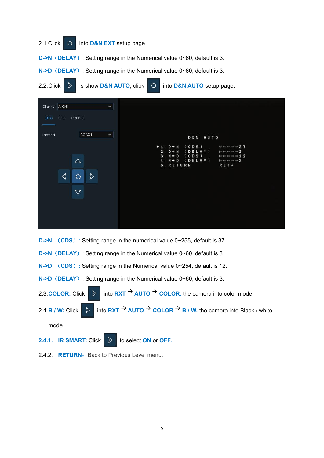

- **D->N** (CDS): Setting range in the numerical value 0~255, default is 37.
- **D->N**(**DELAY**): Setting range in the Numerical value 0~60, default is 3.
- **N->D** (**CDS**)**:** Setting range in the Numerical value 0~254, default is 12.
- **N->D**(**DELAY**): Setting range in the Numerical value 0~60, default is 3.
- 2.3. COLOR: Click  $\triangleright$  into **RXT**  $\rightarrow$  AUTO  $\rightarrow$  COLOR, the camera into color mode.
- 2.4. **B** / **W**: Click  $\triangleright$  into **RXT**  $\rightarrow$  **AUTO**  $\rightarrow$  **COLOR**  $\rightarrow$  **B** / **W**, the camera into Black / white mode.
- **2.4.1. IR SMART:** Click  $\triangleright$  to select **ON** or **OFF.**
- 2.4.2. **RETURN:** Back to Previous Level menu.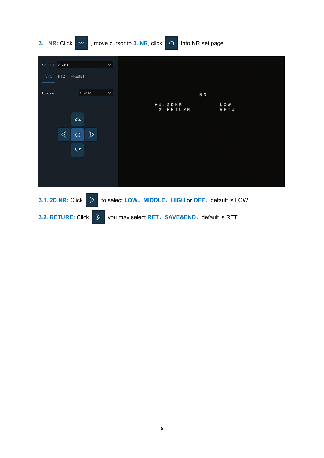

**3.2. RETURE:** Click  $\triangleright$  you may select **RET**, **SAVE&END**, default is RET.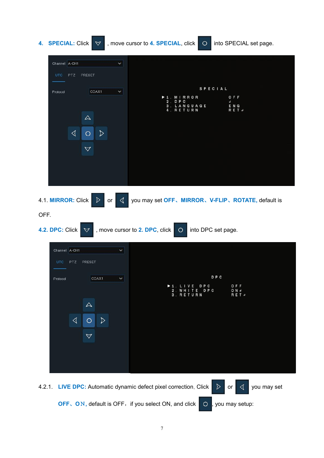

**OFF**, ON, default is OFF, if you select ON, and click  $\overline{Q}$ , you may setup: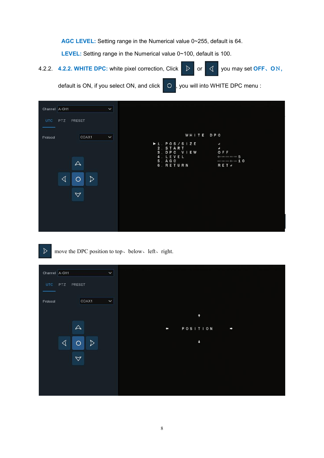**AGC LEVEL:** Setting range in the Numerical value 0~255, default is 64.

**LEVEL:** Setting range in the Numerical value 0~100, default is 100.

**4.2.2. 4.2.2. WHITE DPC:** white pixel correction, Click **D** or **√** you may set **OFF**, **O**N,

default is ON, if you select ON, and click  $\overline{)}$  O  $\overline{)}$ , you will into WHITE DPC menu :

| Channel A-CH1<br>$\checkmark$<br>PTZ<br>PRESET<br><b>UTC</b>                                                     |                                                                                                                                                                                   |  |
|------------------------------------------------------------------------------------------------------------------|-----------------------------------------------------------------------------------------------------------------------------------------------------------------------------------|--|
| COAX <sub>1</sub><br>$\checkmark$<br>Protocol<br>$\triangle$<br>◁<br>$\triangleright$<br>O<br>$\bigtriangledown$ | WHITE DPC<br>$+1.$ POS/SIZE<br>$\mathbf{H}$<br>$\mathbf{A}$<br>2. START<br>OFF<br>3. DPC VIEW<br>4. LEVEL<br>dummumm 3<br>5 AGC<br>$m$ means the net $\pm$ 0<br>6. RETURN<br>RET. |  |

 $\triangleright$ move the DPC position to top、below、left、right.

| Channel A-CH1<br>$\checkmark$<br>UTC PTZ PRESET |                         |
|-------------------------------------------------|-------------------------|
| COAX1<br>$\checkmark$<br>Protocol               |                         |
| $\triangle$                                     | ٠<br>POSITION<br>٠<br>υ |
| ◁<br>D<br>$\circ$<br>$\triangledown$            | D                       |
|                                                 |                         |
|                                                 |                         |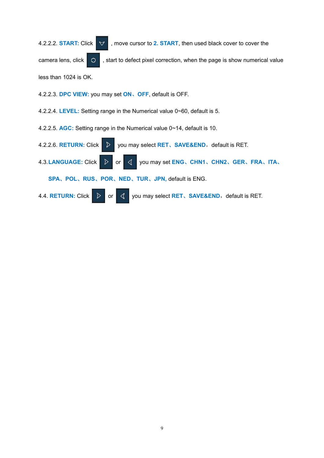4.2.2.2. **START:** Click  $\triangledown$ , move cursor to 2. START, then used black cover to cover the camera lens, click  $\overline{O}$ , start to defect pixel correction, when the page is show numerical value less than 1024 is OK.

4.2.2.3. **DPC VIEW:** you may set **ON**、**OFF**, default is OFF.

4.2.2.4. **LEVEL:** Setting range in the Numerical value 0~60, default is 5.

4.2.2.5. **AGC:** Setting range in the Numerical value 0~14, default is 10.

4.2.2.6. **RETURN:** Click **D** you may select **RET**, **SAVE&END**, default is RET. **4.3.LANGUAGE:** Click  $\triangleright$  or  $\triangleleft$  you may set **ENG**, CHN1, CHN2, GER, FRA, ITA, **SPA**、**POL**、**RUS**、**POR**、**NED**、**TUR**、**JPN,** default is ENG. 4.4. **RETURN:** Click  $\triangleright$  or  $\preceq$  you may select **RET**, **SAVE&END**, default is RET.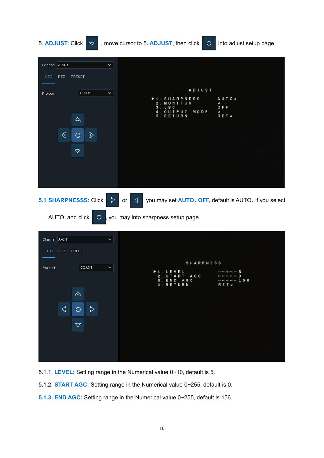| 5. ADJUST: Click<br>$\triangledown$                                                                                                                              | , move cursor to 5. ADJUST, then click<br>into adjust setup page<br>$\circ$                                                                                                 |
|------------------------------------------------------------------------------------------------------------------------------------------------------------------|-----------------------------------------------------------------------------------------------------------------------------------------------------------------------------|
| Channel A-CH1<br>UTC.<br>PTZ.<br>PRESET                                                                                                                          | $\checkmark$                                                                                                                                                                |
| COAX1<br>Protocol<br>$\triangle$<br>$\triangleleft$<br>$\triangleright$<br>О<br>$\triangledown$                                                                  | ADJUST<br>$\checkmark$<br><b>AUTO</b><br>SHARPNESS<br>MONITOR<br>а<br>OFF<br>c<br>s<br>MODE<br>OUTPUT<br>¢.<br>RET #<br>RETURN                                              |
| 5.1 SHARPNESSS: Click<br>AUTO, and click<br>$\circ$                                                                                                              | you may set AUTO, OFF, default is AUTO, if you select<br>$\triangleright$<br>◁<br>or<br>you may into sharpness setup page.                                                  |
| Channel A-CH1<br>PTZ<br>PRESET<br>UTC.<br>COAX1<br>Protocol<br>$\color{red} \Delta$<br>$\blacktriangleleft$<br>$\triangleright$<br>$\circ$<br>$\bigtriangledown$ | $\checkmark$<br><b>SHARPNESS</b><br>×<br>$\blacktriangleright$ 1. LEVEL<br>no on do no on 5<br>A G C<br>2. START<br>Jue no on no on O<br>3. END AGC<br>4. RETURN<br>R E T d |

5.1.1. **LEVEL:** Setting range in the Numerical value 0~10, default is 5.

- 5.1.2. **START AGC:** Setting range in the Numerical value 0~255, default is 0.
- **5.1.3. END AGC:** Setting range in the Numerical value 0~255, default is 156.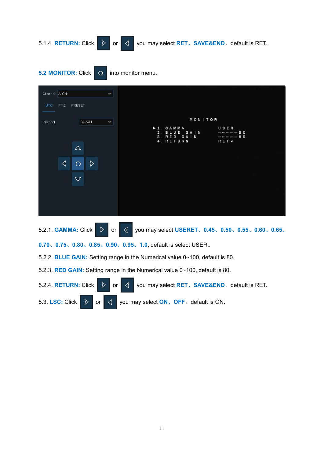

**5.2 MONITOR:** Click **O** into monitor menu.



5.2.2. **BLUE GAIN:** Setting range in the Numerical value 0~100, default is 80.

5.2.3. **RED GAIN:** Setting range in the Numerical value 0~100, default is 80.

5.2.4. **RETURN:** Click  $\triangleright$  or  $\triangleleft$  you may select **RET**, **SAVE&END**, default is RET. 5.3. **LSC:** Click  $\triangleright$  or  $\triangleleft$  you may select **ON**, **OFF**, default is ON.